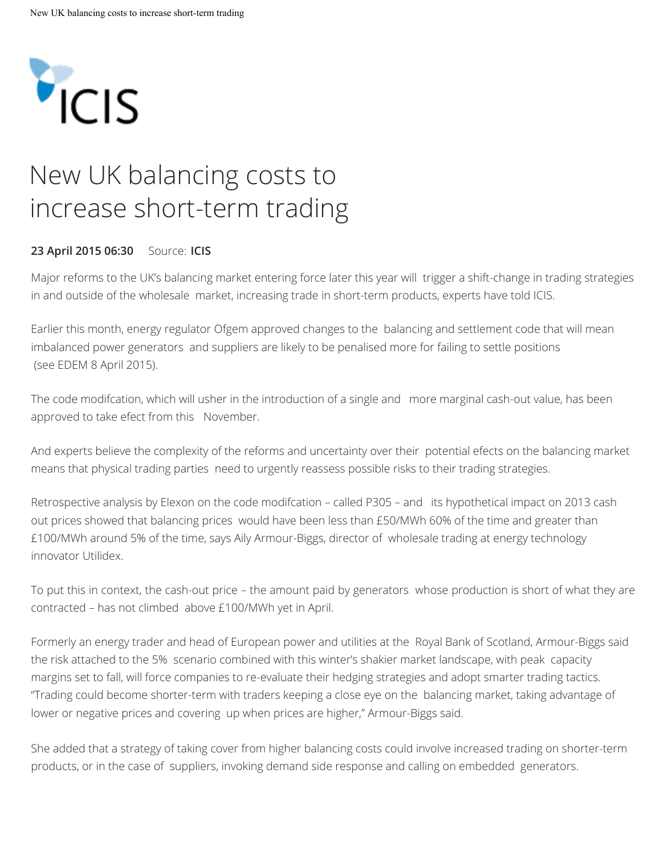

## New UK balancing costs to increase short-term trading

## **23 April 2015 06:30** Source: **ICIS**

Major reforms to the UK's balancing market entering force later this year will trigger a shift-change in trading strategies in and outside of the wholesale market, increasing trade in short-term products, experts have told ICIS.

Earlier this month, energy regulator Ofgem approved changes to the balancing and settlement code that will mean imbalanced power generators and suppliers are likely to be penalised more for failing to settle positions (see EDEM 8 April 2015).

The code modifcation, which will usher in the introduction of a single and more marginal cash-out value, has been approved to take efect from this November.

And experts believe the complexity of the reforms and uncertainty over their potential efects on the balancing market means that physical trading parties need to urgently reassess possible risks to their trading strategies.

Retrospective analysis by Elexon on the code modifcation – called P305 – and its hypothetical impact on 2013 cash out prices showed that balancing prices would have been less than £50/MWh 60% of the time and greater than £100/MWh around 5% of the time, says Aily Armour-Biggs, director of wholesale trading at energy technology innovator Utilidex.

To put this in context, the cash-out price – the amount paid by generators whose production is short of what they are contracted – has not climbed above £100/MWh yet in April.

Formerly an energy trader and head of European power and utilities at the Royal Bank of Scotland, Armour-Biggs said the risk attached to the 5% scenario combined with this winter's shakier market landscape, with peak capacity margins set to fall, will force companies to re-evaluate their hedging strategies and adopt smarter trading tactics. "Trading could become shorter-term with traders keeping a close eye on the balancing market, taking advantage of lower or negative prices and covering up when prices are higher," Armour-Biggs said.

She added that a strategy of taking cover from higher balancing costs could involve increased trading on shorter-term products, or in the case of suppliers, invoking demand side response and calling on embedded generators.